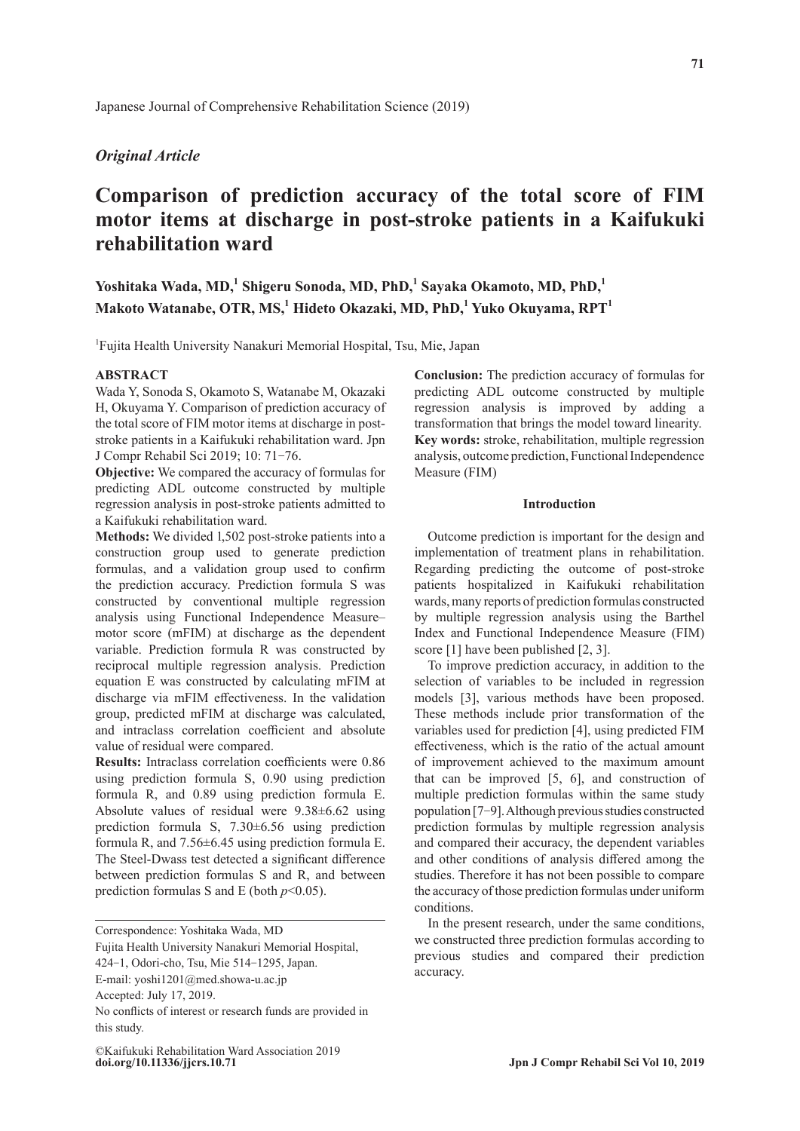# *Original Article*

# **Comparison of prediction accuracy of the total score of FIM motor items at discharge in post-stroke patients in a Kaifukuki rehabilitation ward**

**Yoshitaka Wada, MD,<sup>1</sup> Shigeru Sonoda, MD, PhD,<sup>1</sup> Sayaka Okamoto, MD, PhD,<sup>1</sup>**  $M$ akoto Watanabe, OTR, MS, $^1$  Hideto Okazaki, MD, PhD, $^1$  Yuko Okuyama, RPT $^1$ 

1 Fujita Health University Nanakuri Memorial Hospital, Tsu, Mie, Japan

# **ABSTRACT**

Wada Y, Sonoda S, Okamoto S, Watanabe M, Okazaki H, Okuyama Y. Comparison of prediction accuracy of the total score of FIM motor items at discharge in poststroke patients in a Kaifukuki rehabilitation ward. Jpn J Compr Rehabil Sci 2019; 10: 71-76.

**Objective:** We compared the accuracy of formulas for predicting ADL outcome constructed by multiple regression analysis in post-stroke patients admitted to a Kaifukuki rehabilitation ward.

**Methods:** We divided 1,502 post-stroke patients into a construction group used to generate prediction formulas, and a validation group used to confirm the prediction accuracy. Prediction formula S was constructed by conventional multiple regression analysis using Functional Independence Measure– motor score (mFIM) at discharge as the dependent variable. Prediction formula R was constructed by reciprocal multiple regression analysis. Prediction equation E was constructed by calculating mFIM at discharge via mFIM effectiveness. In the validation group, predicted mFIM at discharge was calculated, and intraclass correlation coefficient and absolute value of residual were compared.

**Results:** Intraclass correlation coefficients were 0.86 using prediction formula S, 0.90 using prediction formula R, and 0.89 using prediction formula E. Absolute values of residual were 9.38±6.62 using prediction formula S, 7.30±6.56 using prediction formula R, and 7.56±6.45 using prediction formula E. The Steel-Dwass test detected a significant difference between prediction formulas S and R, and between prediction formulas S and E (both *p*<0.05).

Correspondence: Yoshitaka Wada, MD

**Conclusion:** The prediction accuracy of formulas for predicting ADL outcome constructed by multiple regression analysis is improved by adding a transformation that brings the model toward linearity. **Key words:** stroke, rehabilitation, multiple regression analysis, outcome prediction, Functional Independence Measure (FIM)

#### **Introduction**

Outcome prediction is important for the design and implementation of treatment plans in rehabilitation. Regarding predicting the outcome of post-stroke patients hospitalized in Kaifukuki rehabilitation wards, many reports of prediction formulas constructed by multiple regression analysis using the Barthel Index and Functional Independence Measure (FIM) score [1] have been published [2, 3].

To improve prediction accuracy, in addition to the selection of variables to be included in regression models [3], various methods have been proposed. These methods include prior transformation of the variables used for prediction [4], using predicted FIM effectiveness, which is the ratio of the actual amount of improvement achieved to the maximum amount that can be improved [5, 6], and construction of multiple prediction formulas within the same study population [7-9]. Although previous studies constructed prediction formulas by multiple regression analysis and compared their accuracy, the dependent variables and other conditions of analysis differed among the studies. Therefore it has not been possible to compare the accuracy of those prediction formulas under uniform conditions.

In the present research, under the same conditions, we constructed three prediction formulas according to previous studies and compared their prediction accuracy.

Fujita Health University Nanakuri Memorial Hospital,

<sup>424</sup>-1, Odori-cho, Tsu, Mie 514-1295, Japan.

E-mail: yoshi1201@med.showa-u.ac.jp

Accepted: July 17, 2019.

No conflicts of interest or research funds are provided in this study.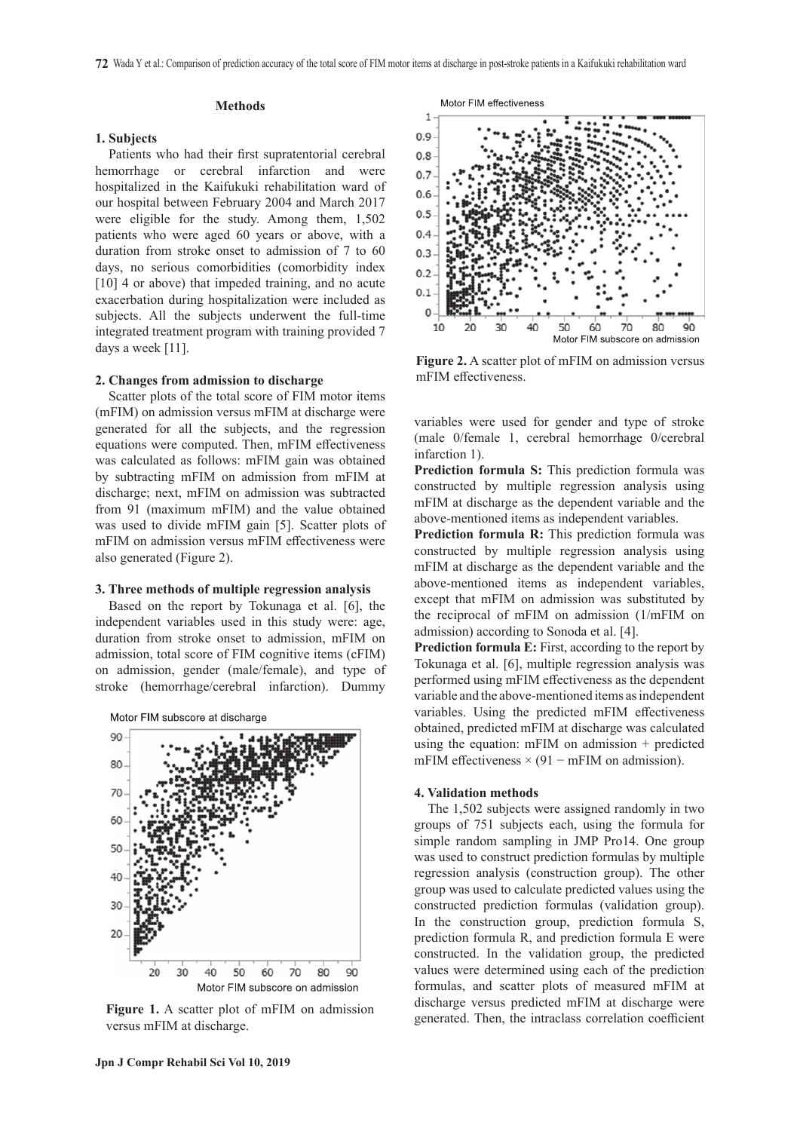#### **Methods**

#### **1. Subjects**

Patients who had their first supratentorial cerebral hemorrhage or cerebral infarction and were hospitalized in the Kaifukuki rehabilitation ward of our hospital between February 2004 and March 2017 were eligible for the study. Among them, 1,502 patients who were aged 60 years or above, with a duration from stroke onset to admission of 7 to 60 days, no serious comorbidities (comorbidity index [10] 4 or above) that impeded training, and no acute exacerbation during hospitalization were included as subjects. All the subjects underwent the full-time integrated treatment program with training provided 7 days a week [11].

#### **2. Changes from admission to discharge**

Scatter plots of the total score of FIM motor items (mFIM) on admission versus mFIM at discharge were generated for all the subjects, and the regression equations were computed. Then, mFIM effectiveness was calculated as follows: mFIM gain was obtained by subtracting mFIM on admission from mFIM at discharge; next, mFIM on admission was subtracted from 91 (maximum mFIM) and the value obtained was used to divide mFIM gain [5]. Scatter plots of mFIM on admission versus mFIM effectiveness were also generated (Figure 2).

#### **3. Three methods of multiple regression analysis**

Based on the report by Tokunaga et al. [6], the independent variables used in this study were: age, duration from stroke onset to admission, mFIM on admission, total score of FIM cognitive items (cFIM) on admission, gender (male/female), and type of stroke (hemorrhage/cerebral infarction). Dummy





versus mFIM at discharge.



**Figure 2.** A scatter plot of mFIM on admission versus mFIM effectiveness.

variables were used for gender and type of stroke (male 0/female 1, cerebral hemorrhage 0/cerebral infarction 1).

**Prediction formula S:** This prediction formula was constructed by multiple regression analysis using mFIM at discharge as the dependent variable and the above-mentioned items as independent variables.

**Prediction formula R:** This prediction formula was constructed by multiple regression analysis using mFIM at discharge as the dependent variable and the above-mentioned items as independent variables, except that mFIM on admission was substituted by the reciprocal of mFIM on admission (1/mFIM on admission) according to Sonoda et al. [4].

**Prediction formula E:** First, according to the report by Tokunaga et al. [6], multiple regression analysis was performed using mFIM effectiveness as the dependent variable and the above-mentioned items as independent variables. Using the predicted mFIM effectiveness obtained, predicted mFIM at discharge was calculated using the equation: mFIM on admission + predicted mFIM effectiveness  $\times$  (91 – mFIM on admission).

#### **4. Validation methods**

The 1,502 subjects were assigned randomly in two groups of 751 subjects each, using the formula for simple random sampling in JMP Pro14. One group was used to construct prediction formulas by multiple regression analysis (construction group). The other group was used to calculate predicted values using the constructed prediction formulas (validation group). In the construction group, prediction formula S, prediction formula R, and prediction formula E were constructed. In the validation group, the predicted values were determined using each of the prediction formulas, and scatter plots of measured mFIM at discharge versus predicted mFIM at discharge were Figure 1. A scatter plot of mFIM on admission<br>generated. Then, the intraclass correlation coefficient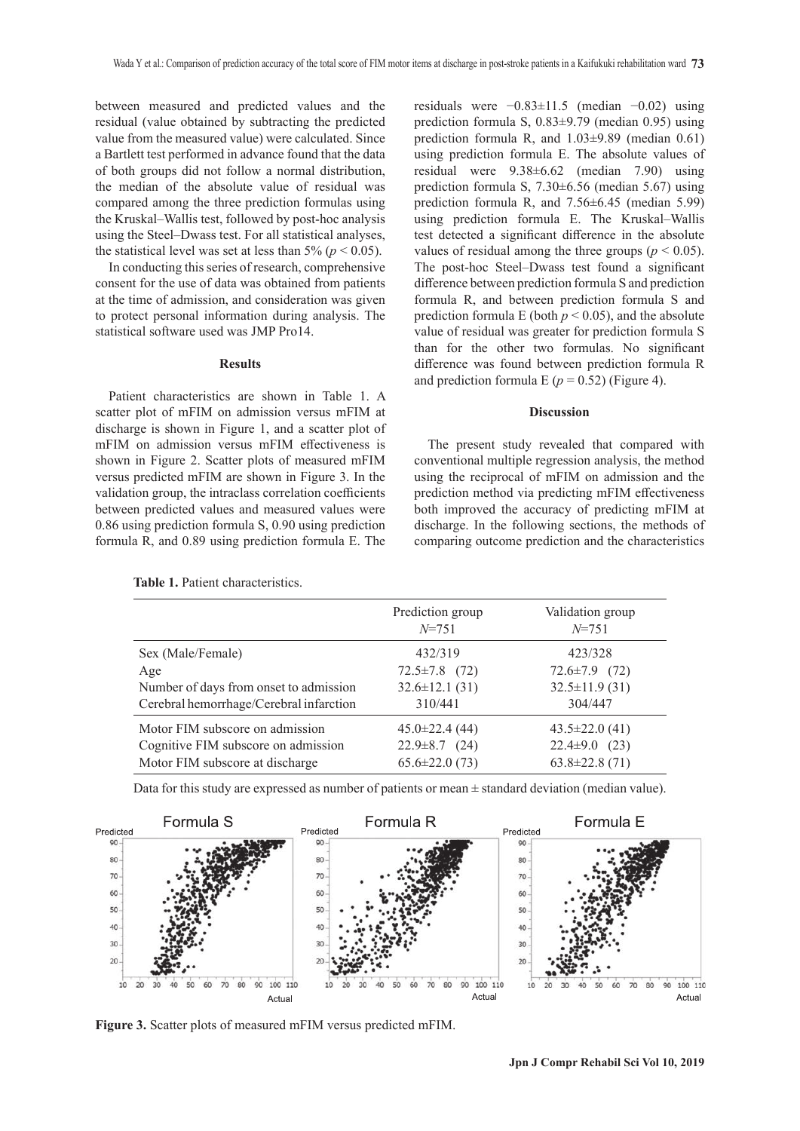between measured and predicted values and the residual (value obtained by subtracting the predicted value from the measured value) were calculated. Since a Bartlett test performed in advance found that the data of both groups did not follow a normal distribution, the median of the absolute value of residual was compared among the three prediction formulas using the Kruskal–Wallis test, followed by post-hoc analysis using the Steel–Dwass test. For all statistical analyses, the statistical level was set at less than 5% ( $p < 0.05$ ).

In conducting this series of research, comprehensive consent for the use of data was obtained from patients at the time of admission, and consideration was given to protect personal information during analysis. The statistical software used was JMP Pro14.

#### **Results**

Patient characteristics are shown in Table 1. A scatter plot of mFIM on admission versus mFIM at discharge is shown in Figure 1, and a scatter plot of mFIM on admission versus mFIM effectiveness is shown in Figure 2. Scatter plots of measured mFIM versus predicted mFIM are shown in Figure 3. In the validation group, the intraclass correlation coefficients between predicted values and measured values were 0.86 using prediction formula S, 0.90 using prediction formula R, and 0.89 using prediction formula E. The

**Table 1.** Patient characteristics.

residuals were −0.83±11.5 (median −0.02) using prediction formula S, 0.83±9.79 (median 0.95) using prediction formula R, and 1.03±9.89 (median 0.61) using prediction formula E. The absolute values of residual were 9.38±6.62 (median 7.90) using prediction formula S, 7.30±6.56 (median 5.67) using prediction formula R, and 7.56±6.45 (median 5.99) using prediction formula E. The Kruskal–Wallis test detected a significant difference in the absolute values of residual among the three groups ( $p < 0.05$ ). The post-hoc Steel–Dwass test found a significant difference between prediction formula S and prediction formula R, and between prediction formula S and prediction formula E (both  $p < 0.05$ ), and the absolute value of residual was greater for prediction formula S than for the other two formulas. No significant difference was found between prediction formula R and prediction formula  $E (p = 0.52)$  (Figure 4).

#### **Discussion**

The present study revealed that compared with conventional multiple regression analysis, the method using the reciprocal of mFIM on admission and the prediction method via predicting mFIM effectiveness both improved the accuracy of predicting mFIM at discharge. In the following sections, the methods of comparing outcome prediction and the characteristics

|                                         | Prediction group<br>$N = 751$ | Validation group<br>$N = 751$ |
|-----------------------------------------|-------------------------------|-------------------------------|
| Sex (Male/Female)                       | 432/319                       | 423/328                       |
| Age                                     | $72.5 \pm 7.8$ (72)           | $72.6 \pm 7.9$ (72)           |
| Number of days from onset to admission  | $32.6 \pm 12.1$ (31)          | $32.5 \pm 11.9$ (31)          |
| Cerebral hemorrhage/Cerebral infarction | 310/441                       | 304/447                       |
| Motor FIM subscore on admission         | $45.0 \pm 22.4(44)$           | $43.5 \pm 22.0$ (41)          |
| Cognitive FIM subscore on admission     | $22.9 \pm 8.7$ (24)           | $22.4 \pm 9.0$<br>(23)        |
| Motor FIM subscore at discharge         | $65.6 \pm 22.0(73)$           | $63.8 \pm 22.8(71)$           |

Data for this study are expressed as number of patients or mean  $\pm$  standard deviation (median value).



**Figure 3.** Scatter plots of measured mFIM versus predicted mFIM.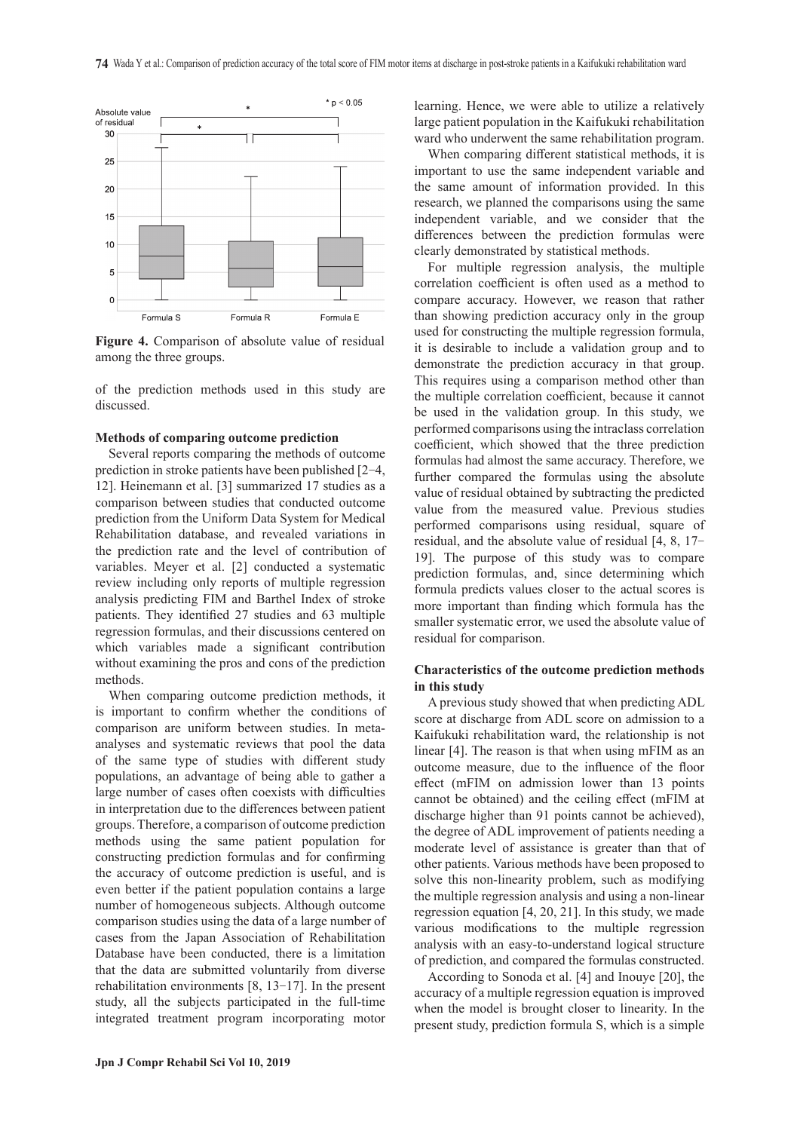

**Figure 4.** Comparison of absolute value of residual among the three groups.

of the prediction methods used in this study are discussed.

# **Methods of comparing outcome prediction**

Several reports comparing the methods of outcome prediction in stroke patients have been published [2-4, 12]. Heinemann et al. [3] summarized 17 studies as a comparison between studies that conducted outcome prediction from the Uniform Data System for Medical Rehabilitation database, and revealed variations in the prediction rate and the level of contribution of variables. Meyer et al. [2] conducted a systematic review including only reports of multiple regression analysis predicting FIM and Barthel Index of stroke patients. They identified 27 studies and 63 multiple regression formulas, and their discussions centered on which variables made a significant contribution without examining the pros and cons of the prediction methods.

When comparing outcome prediction methods, it is important to confirm whether the conditions of comparison are uniform between studies. In metaanalyses and systematic reviews that pool the data of the same type of studies with different study populations, an advantage of being able to gather a large number of cases often coexists with difficulties in interpretation due to the differences between patient groups. Therefore, a comparison of outcome prediction methods using the same patient population for constructing prediction formulas and for confirming the accuracy of outcome prediction is useful, and is even better if the patient population contains a large number of homogeneous subjects. Although outcome comparison studies using the data of a large number of cases from the Japan Association of Rehabilitation Database have been conducted, there is a limitation that the data are submitted voluntarily from diverse rehabilitation environments [8, 13-17]. In the present study, all the subjects participated in the full-time integrated treatment program incorporating motor

learning. Hence, we were able to utilize a relatively large patient population in the Kaifukuki rehabilitation ward who underwent the same rehabilitation program.

When comparing different statistical methods, it is important to use the same independent variable and the same amount of information provided. In this research, we planned the comparisons using the same independent variable, and we consider that the differences between the prediction formulas were clearly demonstrated by statistical methods.

For multiple regression analysis, the multiple correlation coefficient is often used as a method to compare accuracy. However, we reason that rather than showing prediction accuracy only in the group used for constructing the multiple regression formula, it is desirable to include a validation group and to demonstrate the prediction accuracy in that group. This requires using a comparison method other than the multiple correlation coefficient, because it cannot be used in the validation group. In this study, we performed comparisons using the intraclass correlation coefficient, which showed that the three prediction formulas had almost the same accuracy. Therefore, we further compared the formulas using the absolute value of residual obtained by subtracting the predicted value from the measured value. Previous studies performed comparisons using residual, square of residual, and the absolute value of residual [4, 8, 17- 19]. The purpose of this study was to compare prediction formulas, and, since determining which formula predicts values closer to the actual scores is more important than finding which formula has the smaller systematic error, we used the absolute value of residual for comparison.

# **Characteristics of the outcome prediction methods in this study**

A previous study showed that when predicting ADL score at discharge from ADL score on admission to a Kaifukuki rehabilitation ward, the relationship is not linear [4]. The reason is that when using mFIM as an outcome measure, due to the influence of the floor effect (mFIM on admission lower than 13 points cannot be obtained) and the ceiling effect (mFIM at discharge higher than 91 points cannot be achieved), the degree of ADL improvement of patients needing a moderate level of assistance is greater than that of other patients. Various methods have been proposed to solve this non-linearity problem, such as modifying the multiple regression analysis and using a non-linear regression equation [4, 20, 21]. In this study, we made various modifications to the multiple regression analysis with an easy-to-understand logical structure of prediction, and compared the formulas constructed.

According to Sonoda et al. [4] and Inouye [20], the accuracy of a multiple regression equation is improved when the model is brought closer to linearity. In the present study, prediction formula S, which is a simple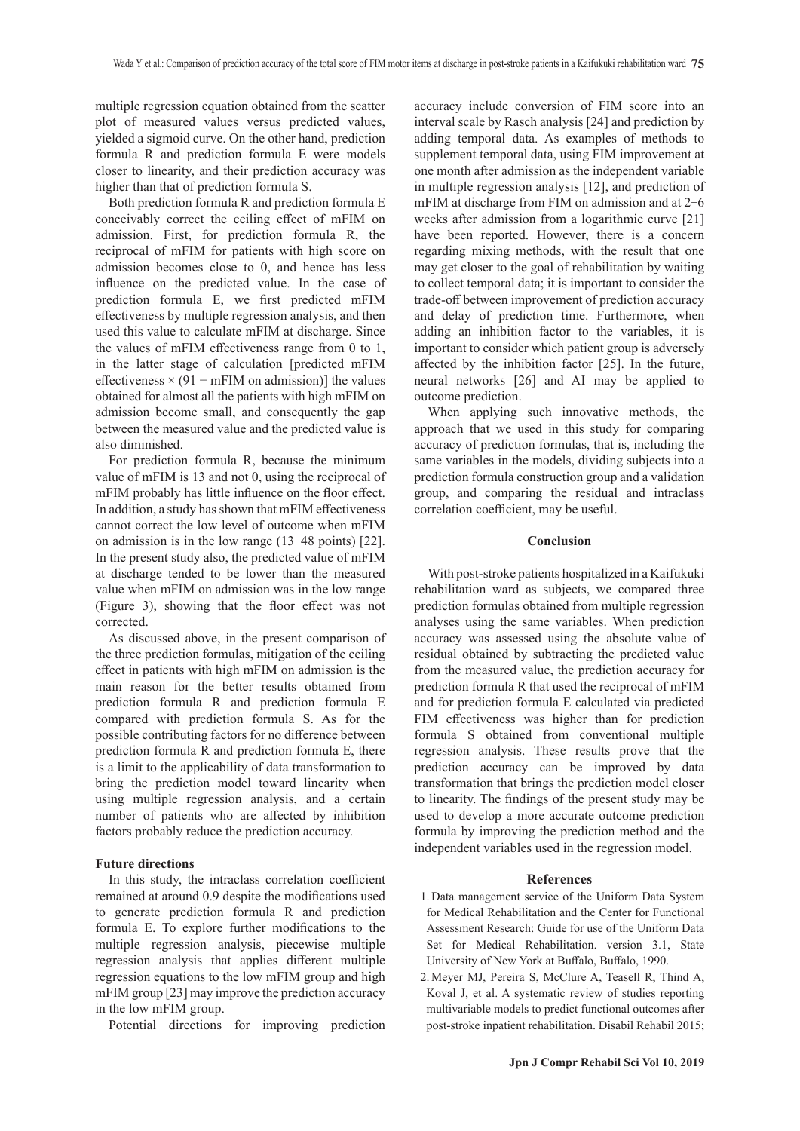multiple regression equation obtained from the scatter plot of measured values versus predicted values, yielded a sigmoid curve. On the other hand, prediction formula R and prediction formula E were models closer to linearity, and their prediction accuracy was higher than that of prediction formula S.

Both prediction formula R and prediction formula E conceivably correct the ceiling effect of mFIM on admission. First, for prediction formula R, the reciprocal of mFIM for patients with high score on admission becomes close to 0, and hence has less influence on the predicted value. In the case of prediction formula E, we first predicted mFIM effectiveness by multiple regression analysis, and then used this value to calculate mFIM at discharge. Since the values of mFIM effectiveness range from 0 to 1, in the latter stage of calculation [predicted mFIM effectiveness × (91 – mFIM on admission)] the values obtained for almost all the patients with high mFIM on admission become small, and consequently the gap between the measured value and the predicted value is also diminished.

For prediction formula R, because the minimum value of mFIM is 13 and not 0, using the reciprocal of mFIM probably has little influence on the floor effect. In addition, a study has shown that mFIM effectiveness cannot correct the low level of outcome when mFIM on admission is in the low range (13-48 points) [22]. In the present study also, the predicted value of mFIM at discharge tended to be lower than the measured value when mFIM on admission was in the low range (Figure 3), showing that the floor effect was not corrected.

As discussed above, in the present comparison of the three prediction formulas, mitigation of the ceiling effect in patients with high mFIM on admission is the main reason for the better results obtained from prediction formula R and prediction formula E compared with prediction formula S. As for the possible contributing factors for no difference between prediction formula R and prediction formula E, there is a limit to the applicability of data transformation to bring the prediction model toward linearity when using multiple regression analysis, and a certain number of patients who are affected by inhibition factors probably reduce the prediction accuracy.

# **Future directions**

In this study, the intraclass correlation coefficient remained at around 0.9 despite the modifications used to generate prediction formula R and prediction formula E. To explore further modifications to the multiple regression analysis, piecewise multiple regression analysis that applies different multiple regression equations to the low mFIM group and high mFIM group [23] may improve the prediction accuracy in the low mFIM group.

Potential directions for improving prediction

accuracy include conversion of FIM score into an interval scale by Rasch analysis [24] and prediction by adding temporal data. As examples of methods to supplement temporal data, using FIM improvement at one month after admission as the independent variable in multiple regression analysis [12], and prediction of mFIM at discharge from FIM on admission and at 2-6 weeks after admission from a logarithmic curve [21] have been reported. However, there is a concern regarding mixing methods, with the result that one may get closer to the goal of rehabilitation by waiting to collect temporal data; it is important to consider the trade-off between improvement of prediction accuracy and delay of prediction time. Furthermore, when adding an inhibition factor to the variables, it is important to consider which patient group is adversely affected by the inhibition factor [25]. In the future, neural networks [26] and AI may be applied to outcome prediction.

When applying such innovative methods, the approach that we used in this study for comparing accuracy of prediction formulas, that is, including the same variables in the models, dividing subjects into a prediction formula construction group and a validation group, and comparing the residual and intraclass correlation coefficient, may be useful.

#### **Conclusion**

With post-stroke patients hospitalized in a Kaifukuki rehabilitation ward as subjects, we compared three prediction formulas obtained from multiple regression analyses using the same variables. When prediction accuracy was assessed using the absolute value of residual obtained by subtracting the predicted value from the measured value, the prediction accuracy for prediction formula R that used the reciprocal of mFIM and for prediction formula E calculated via predicted FIM effectiveness was higher than for prediction formula S obtained from conventional multiple regression analysis. These results prove that the prediction accuracy can be improved by data transformation that brings the prediction model closer to linearity. The findings of the present study may be used to develop a more accurate outcome prediction formula by improving the prediction method and the independent variables used in the regression model.

#### **References**

- 1. Data management service of the Uniform Data System for Medical Rehabilitation and the Center for Functional Assessment Research: Guide for use of the Uniform Data Set for Medical Rehabilitation. version 3.1, State University of New York at Buffalo, Buffalo, 1990.
- 2. Meyer MJ, Pereira S, McClure A, Teasell R, Thind A, Koval J, et al. A systematic review of studies reporting multivariable models to predict functional outcomes after post-stroke inpatient rehabilitation. Disabil Rehabil 2015;